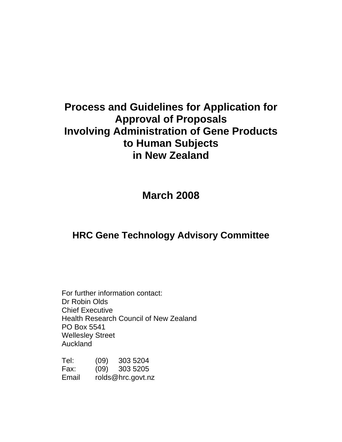# **Process and Guidelines for Application for Approval of Proposals Involving Administration of Gene Products to Human Subjects in New Zealand**

**March 2008** 

## **HRC Gene Technology Advisory Committee**

For further information contact: Dr Robin Olds Chief Executive Health Research Council of New Zealand PO Box 5541 Wellesley Street Auckland

| Tel:  | (09) | 303 5204          |  |  |
|-------|------|-------------------|--|--|
| Fax:  |      | $(09)$ 303 5205   |  |  |
| Email |      | rolds@hrc.govt.nz |  |  |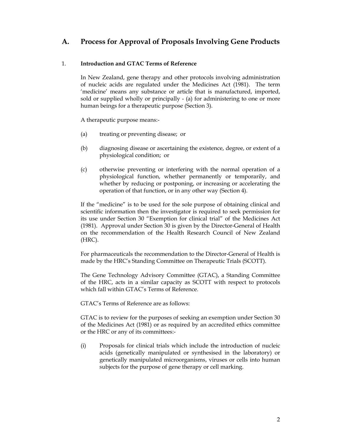## **A. Process for Approval of Proposals Involving Gene Products**

#### 1. **Introduction and GTAC Terms of Reference**

In New Zealand, gene therapy and other protocols involving administration of nucleic acids are regulated under the Medicines Act (1981). The term 'medicine' means any substance or article that is manufactured, imported, sold or supplied wholly or principally - (a) for administering to one or more human beings for a therapeutic purpose (Section 3).

A therapeutic purpose means:-

- (a) treating or preventing disease; or
- (b) diagnosing disease or ascertaining the existence, degree, or extent of a physiological condition; or
- (c) otherwise preventing or interfering with the normal operation of a physiological function, whether permanently or temporarily, and whether by reducing or postponing, or increasing or accelerating the operation of that function, or in any other way (Section 4).

If the "medicine" is to be used for the sole purpose of obtaining clinical and scientific information then the investigator is required to seek permission for its use under Section 30 "Exemption for clinical trial" of the Medicines Act (1981). Approval under Section 30 is given by the Director-General of Health on the recommendation of the Health Research Council of New Zealand (HRC).

For pharmaceuticals the recommendation to the Director-General of Health is made by the HRC's Standing Committee on Therapeutic Trials (SCOTT).

The Gene Technology Advisory Committee (GTAC), a Standing Committee of the HRC, acts in a similar capacity as SCOTT with respect to protocols which fall within GTAC's Terms of Reference.

GTAC's Terms of Reference are as follows:

GTAC is to review for the purposes of seeking an exemption under Section 30 of the Medicines Act (1981) or as required by an accredited ethics committee or the HRC or any of its committees:-

(i) Proposals for clinical trials which include the introduction of nucleic acids (genetically manipulated or synthesised in the laboratory) or genetically manipulated microorganisms, viruses or cells into human subjects for the purpose of gene therapy or cell marking.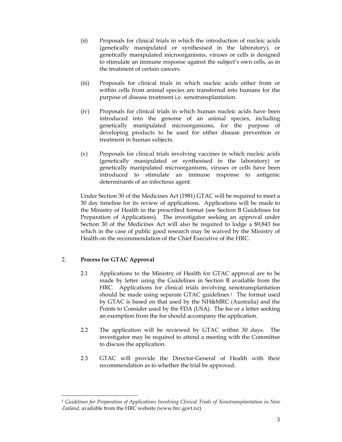- (ii) Proposals for clinical trials in which the introduction of nucleic acids (genetically manipulated or synthesised in the laboratory), or genetically manipulated microorganisms, viruses or cells is designed to stimulate an immune response against the subject's own cells, as in the treatment of certain cancers.
- (iii) Proposals for clinical trials in which nucleic acids either from or within cells from animal species are transferred into humans for the purpose of disease treatment i.e. xenotransplantation.
- (iv) Proposals for clinical trials in which human nucleic acids have been introduced into the genome of an animal species, including genetically manipulated microorganisms, for the purpose of developing products to be used for either disease prevention or treatment in human subjects.
- (v) Proposals for clinical trials involving vaccines in which nucleic acids (genetically manipulated or synthesised in the laboratory) or genetically manipulated microorganisms, viruses or cells have been introduced to stimulate an immune response to antigenic determinants of an infectious agent.

Under Section 30 of the Medicines Act (1981) GTAC will be required to meet a 30 day timeline for its review of applications. Applications will be made to the Ministry of Health in the prescribed format (see Section B Guidelines for Preparation of Applications). The investigator seeking an approval under Section 30 of the Medicines Act will also be required to lodge a \$9,843 fee which in the case of public good research may be waived by the Ministry of Health on the recommendation of the Chief Executive of the HRC.

#### 2. **Process for GTAC Approval**

-

- 2.1 Applications to the Ministry of Health for GTAC approval are to be made by letter using the Guidelines in Section B available from the HRC. Applications for clinical trials involving xenotransplantation should be made using separate GTAC guidelines.<sup>1</sup> The format used by GTAC is based on that used by the NH&MRC (Australia) and the Points to Consider used by the FDA (USA). The fee or a letter seeking an exemption from the fee should accompany the application.
- 2.2 The application will be reviewed by GTAC within 30 days. The investigator may be required to attend a meeting with the Committee to discuss the application.
- 2.3 GTAC will provide the Director-General of Health with their recommendation as to whether the trial be approved.

<sup>1</sup> *Guidelines for Preparation of Applications Involving Clinical Trials of Xenotransplantation in New Zealand,* available from the HRC website (www.hrc.govt.nz)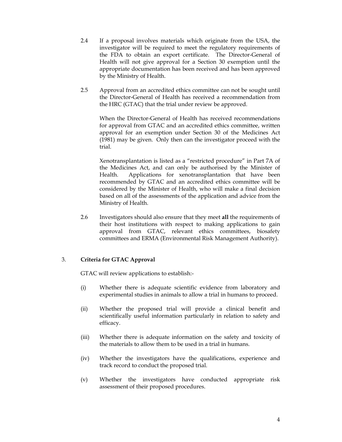- 2.4 If a proposal involves materials which originate from the USA, the investigator will be required to meet the regulatory requirements of the FDA to obtain an export certificate. The Director-General of Health will not give approval for a Section 30 exemption until the appropriate documentation has been received and has been approved by the Ministry of Health.
- 2.5 Approval from an accredited ethics committee can not be sought until the Director-General of Health has received a recommendation from the HRC (GTAC) that the trial under review be approved.

When the Director-General of Health has received recommendations for approval from GTAC and an accredited ethics committee, written approval for an exemption under Section 30 of the Medicines Act (1981) may be given. Only then can the investigator proceed with the trial.

Xenotransplantation is listed as a "restricted procedure" in Part 7A of the Medicines Act, and can only be authorised by the Minister of Health. Applications for xenotransplantation that have been recommended by GTAC and an accredited ethics committee will be considered by the Minister of Health, who will make a final decision based on all of the assessments of the application and advice from the Ministry of Health.

2.6 Investigators should also ensure that they meet **all** the requirements of their host institutions with respect to making applications to gain approval from GTAC, relevant ethics committees, biosafety committees and ERMA (Environmental Risk Management Authority).

#### 3. **Criteria for GTAC Approval**

GTAC will review applications to establish:-

- (i) Whether there is adequate scientific evidence from laboratory and experimental studies in animals to allow a trial in humans to proceed.
- (ii) Whether the proposed trial will provide a clinical benefit and scientifically useful information particularly in relation to safety and efficacy.
- (iii) Whether there is adequate information on the safety and toxicity of the materials to allow them to be used in a trial in humans.
- (iv) Whether the investigators have the qualifications, experience and track record to conduct the proposed trial.
- (v) Whether the investigators have conducted appropriate risk assessment of their proposed procedures.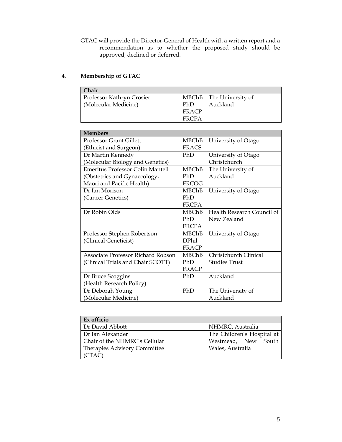GTAC will provide the Director-General of Health with a written report and a recommendation as to whether the proposed study should be approved, declined or deferred.

### 4. **Membership of GTAC**

| Chair                            |              |                         |
|----------------------------------|--------------|-------------------------|
| <b>Professor Kathryn Crosier</b> |              | MBChB The University of |
| Molecular Medicine               | PhD.         | Auckland                |
|                                  | <b>FRACP</b> |                         |
|                                  | FRCPA        |                         |

| <b>Members</b>                          |              |                            |
|-----------------------------------------|--------------|----------------------------|
| <b>Professor Grant Gillett</b>          | MBChB        | University of Otago        |
| (Ethicist and Surgeon)                  | <b>FRACS</b> |                            |
| Dr Martin Kennedy                       | PhD          | University of Otago        |
| (Molecular Biology and Genetics)        |              | Christchurch               |
| <b>Emeritus Professor Colin Mantell</b> | <b>MBChB</b> | The University of          |
| (Obstetrics and Gynaecology,            | PhD          | Auckland                   |
| Maori and Pacific Health)               | FRCOG        |                            |
| Dr Ian Morison                          | MBChB        | University of Otago        |
| (Cancer Genetics)                       | PhD          |                            |
|                                         | <b>FRCPA</b> |                            |
| Dr Robin Olds                           | <b>MBChB</b> | Health Research Council of |
|                                         | PhD          | New Zealand                |
|                                         | <b>FRCPA</b> |                            |
| Professor Stephen Robertson             | <b>MBChB</b> | University of Otago        |
| (Clinical Geneticist)                   | <b>DPhil</b> |                            |
|                                         | <b>FRACP</b> |                            |
| Associate Professor Richard Robson      | <b>MBChB</b> | Christchurch Clinical      |
| (Clinical Trials and Chair SCOTT)       | PhD          | <b>Studies Trust</b>       |
|                                         | <b>FRACP</b> |                            |
| Dr Bruce Scoggins                       | PhD          | Auckland                   |
| (Health Research Policy)                |              |                            |
| Dr Deborah Young                        | PhD          | The University of          |
| (Molecular Medicine)                    |              | Auckland                   |

| Ex officio                    |                            |
|-------------------------------|----------------------------|
| Dr David Abbott               | NHMRC, Australia           |
| Dr Ian Alexander              | The Children's Hospital at |
| Chair of the NHMRC's Cellular | Westmead, New South        |
| Therapies Advisory Committee  | Wales, Australia           |
| (CTAC)                        |                            |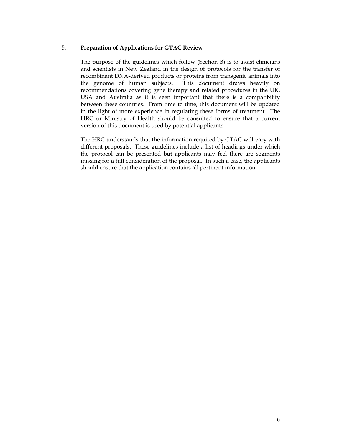#### 5. **Preparation of Applications for GTAC Review**

The purpose of the guidelines which follow (Section B) is to assist clinicians and scientists in New Zealand in the design of protocols for the transfer of recombinant DNA-derived products or proteins from transgenic animals into the genome of human subjects. This document draws heavily on recommendations covering gene therapy and related procedures in the UK, USA and Australia as it is seen important that there is a compatibility between these countries. From time to time, this document will be updated in the light of more experience in regulating these forms of treatment. The HRC or Ministry of Health should be consulted to ensure that a current version of this document is used by potential applicants.

The HRC understands that the information required by GTAC will vary with different proposals. These guidelines include a list of headings under which the protocol can be presented but applicants may feel there are segments missing for a full consideration of the proposal. In such a case, the applicants should ensure that the application contains all pertinent information.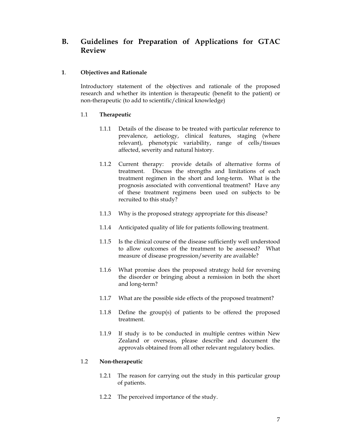## **B. Guidelines for Preparation of Applications for GTAC Review**

#### **1**. **Objectives and Rationale**

Introductory statement of the objectives and rationale of the proposed research and whether its intention is therapeutic (benefit to the patient) or non-therapeutic (to add to scientific/clinical knowledge)

#### 1.1 **Therapeutic**

- 1.1.1 Details of the disease to be treated with particular reference to prevalence, aetiology, clinical features, staging (where relevant), phenotypic variability, range of cells/tissues affected, severity and natural history.
- 1.1.2 Current therapy: provide details of alternative forms of treatment. Discuss the strengths and limitations of each treatment regimen in the short and long-term. What is the prognosis associated with conventional treatment? Have any of these treatment regimens been used on subjects to be recruited to this study?
- 1.1.3 Why is the proposed strategy appropriate for this disease?
- 1.1.4 Anticipated quality of life for patients following treatment.
- 1.1.5 Is the clinical course of the disease sufficiently well understood to allow outcomes of the treatment to be assessed? What measure of disease progression/severity are available?
- 1.1.6 What promise does the proposed strategy hold for reversing the disorder or bringing about a remission in both the short and long-term?
- 1.1.7 What are the possible side effects of the proposed treatment?
- 1.1.8 Define the group(s) of patients to be offered the proposed treatment.
- 1.1.9 If study is to be conducted in multiple centres within New Zealand or overseas, please describe and document the approvals obtained from all other relevant regulatory bodies.

#### 1.2 **Non-therapeutic**

- 1.2.1 The reason for carrying out the study in this particular group of patients.
- 1.2.2 The perceived importance of the study.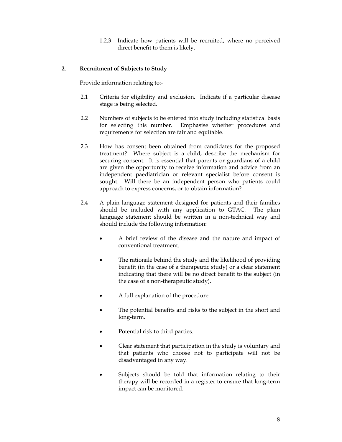1.2.3 Indicate how patients will be recruited, where no perceived direct benefit to them is likely.

#### **2**. **Recruitment of Subjects to Study**

Provide information relating to:-

- 2.1 Criteria for eligibility and exclusion. Indicate if a particular disease stage is being selected.
- 2.2 Numbers of subjects to be entered into study including statistical basis for selecting this number. Emphasise whether procedures and requirements for selection are fair and equitable.
- 2.3 How has consent been obtained from candidates for the proposed treatment? Where subject is a child, describe the mechanism for securing consent. It is essential that parents or guardians of a child are given the opportunity to receive information and advice from an independent paediatrician or relevant specialist before consent is sought. Will there be an independent person who patients could approach to express concerns, or to obtain information?
- 2.4 A plain language statement designed for patients and their families should be included with any application to GTAC. The plain language statement should be written in a non-technical way and should include the following information:
	- A brief review of the disease and the nature and impact of conventional treatment.
	- The rationale behind the study and the likelihood of providing benefit (in the case of a therapeutic study) or a clear statement indicating that there will be no direct benefit to the subject (in the case of a non-therapeutic study).
	- A full explanation of the procedure.
	- The potential benefits and risks to the subject in the short and long-term.
	- Potential risk to third parties.
	- Clear statement that participation in the study is voluntary and that patients who choose not to participate will not be disadvantaged in any way.
	- Subjects should be told that information relating to their therapy will be recorded in a register to ensure that long-term impact can be monitored.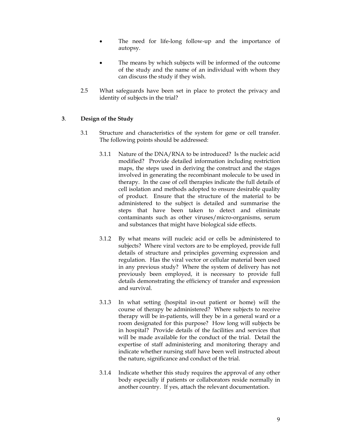- The need for life-long follow-up and the importance of autopsy.
- The means by which subjects will be informed of the outcome of the study and the name of an individual with whom they can discuss the study if they wish.
- 2.5 What safeguards have been set in place to protect the privacy and identity of subjects in the trial?

#### **3**. **Design of the Study**

- 3.1 Structure and characteristics of the system for gene or cell transfer. The following points should be addressed:
	- 3.1.1 Nature of the DNA/RNA to be introduced? Is the nucleic acid modified? Provide detailed information including restriction maps, the steps used in deriving the construct and the stages involved in generating the recombinant molecule to be used in therapy. In the case of cell therapies indicate the full details of cell isolation and methods adopted to ensure desirable quality of product. Ensure that the structure of the material to be administered to the subject is detailed and summarise the steps that have been taken to detect and eliminate contaminants such as other viruses/micro-organisms, serum and substances that might have biological side effects.
	- 3.1.2 By what means will nucleic acid or cells be administered to subjects? Where viral vectors are to be employed, provide full details of structure and principles governing expression and regulation. Has the viral vector or cellular material been used in any previous study? Where the system of delivery has not previously been employed, it is necessary to provide full details demonstrating the efficiency of transfer and expression and survival.
	- 3.1.3 In what setting (hospital in-out patient or home) will the course of therapy be administered? Where subjects to receive therapy will be in-patients, will they be in a general ward or a room designated for this purpose? How long will subjects be in hospital? Provide details of the facilities and services that will be made available for the conduct of the trial. Detail the expertise of staff administering and monitoring therapy and indicate whether nursing staff have been well instructed about the nature, significance and conduct of the trial.
	- 3.1.4 Indicate whether this study requires the approval of any other body especially if patients or collaborators reside normally in another country. If yes, attach the relevant documentation.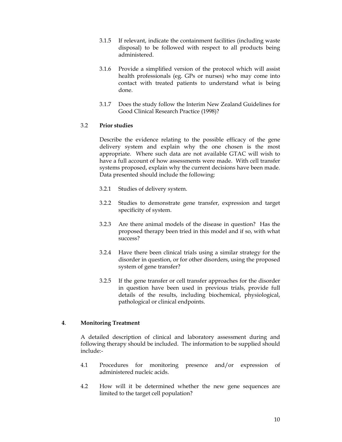- 3.1.5 If relevant, indicate the containment facilities (including waste disposal) to be followed with respect to all products being administered.
- 3.1.6 Provide a simplified version of the protocol which will assist health professionals (eg. GPs or nurses) who may come into contact with treated patients to understand what is being done.
- 3.1.7 Does the study follow the Interim New Zealand Guidelines for Good Clinical Research Practice (1998)?

#### 3.2 **Prior studies**

Describe the evidence relating to the possible efficacy of the gene delivery system and explain why the one chosen is the most appropriate. Where such data are not available GTAC will wish to have a full account of how assessments were made. With cell transfer systems proposed, explain why the current decisions have been made. Data presented should include the following:

- 3.2.1 Studies of delivery system.
- 3.2.2 Studies to demonstrate gene transfer, expression and target specificity of system.
- 3.2.3 Are there animal models of the disease in question? Has the proposed therapy been tried in this model and if so, with what success?
- 3.2.4 Have there been clinical trials using a similar strategy for the disorder in question, or for other disorders, using the proposed system of gene transfer?
- 3.2.5 If the gene transfer or cell transfer approaches for the disorder in question have been used in previous trials, provide full details of the results, including biochemical, physiological, pathological or clinical endpoints.

#### **4**. **Monitoring Treatment**

A detailed description of clinical and laboratory assessment during and following therapy should be included. The information to be supplied should include:-

- 4.1 Procedures for monitoring presence and/or expression of administered nucleic acids.
- 4.2 How will it be determined whether the new gene sequences are limited to the target cell population?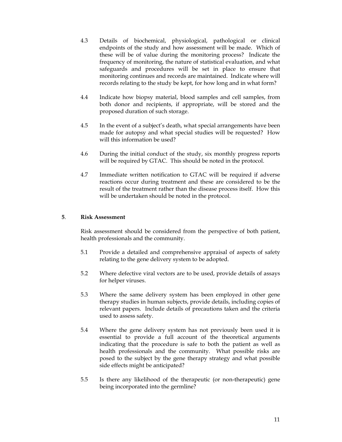- 4.3 Details of biochemical, physiological, pathological or clinical endpoints of the study and how assessment will be made. Which of these will be of value during the monitoring process? Indicate the frequency of monitoring, the nature of statistical evaluation, and what safeguards and procedures will be set in place to ensure that monitoring continues and records are maintained. Indicate where will records relating to the study be kept, for how long and in what form?
- 4.4 Indicate how biopsy material, blood samples and cell samples, from both donor and recipients, if appropriate, will be stored and the proposed duration of such storage.
- 4.5 In the event of a subject's death, what special arrangements have been made for autopsy and what special studies will be requested? How will this information be used?
- 4.6 During the initial conduct of the study, six monthly progress reports will be required by GTAC. This should be noted in the protocol.
- 4.7 Immediate written notification to GTAC will be required if adverse reactions occur during treatment and these are considered to be the result of the treatment rather than the disease process itself. How this will be undertaken should be noted in the protocol.

#### **5**. **Risk Assessment**

Risk assessment should be considered from the perspective of both patient, health professionals and the community.

- 5.1 Provide a detailed and comprehensive appraisal of aspects of safety relating to the gene delivery system to be adopted.
- 5.2 Where defective viral vectors are to be used, provide details of assays for helper viruses.
- 5.3 Where the same delivery system has been employed in other gene therapy studies in human subjects, provide details, including copies of relevant papers. Include details of precautions taken and the criteria used to assess safety.
- 5.4 Where the gene delivery system has not previously been used it is essential to provide a full account of the theoretical arguments indicating that the procedure is safe to both the patient as well as health professionals and the community. What possible risks are posed to the subject by the gene therapy strategy and what possible side effects might be anticipated?
- 5.5 Is there any likelihood of the therapeutic (or non-therapeutic) gene being incorporated into the germline?